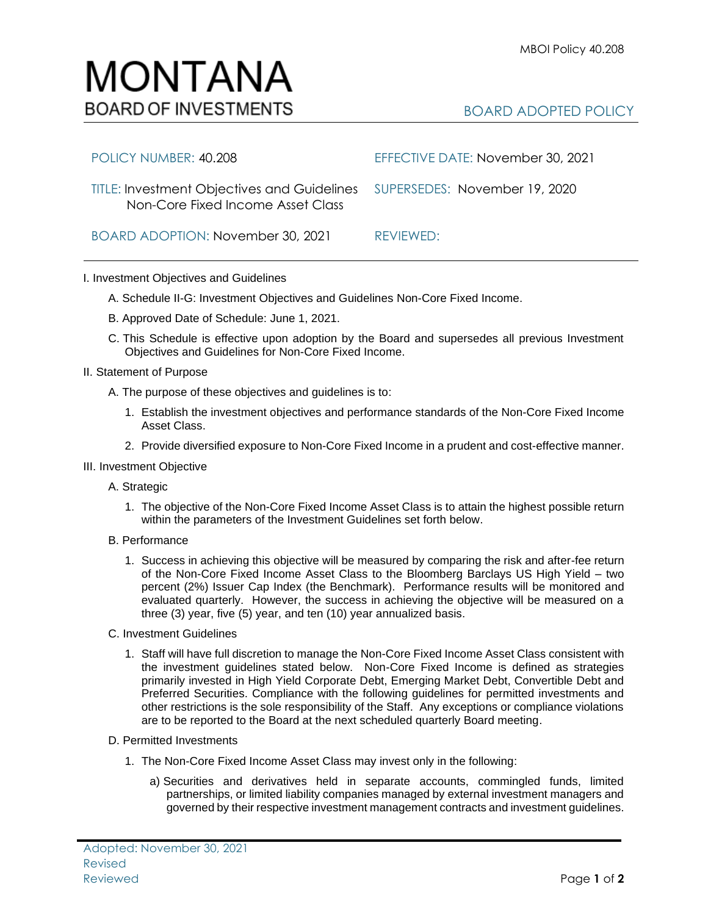## BOARD ADOPTED POLICY

| POLICY NUMBER: 40.208                                                                                          | EFFECTIVE DATE: November 30, 2021 |
|----------------------------------------------------------------------------------------------------------------|-----------------------------------|
| TITLE: Investment Objectives and Guidelines SUPERSEDES: November 19, 2020<br>Non-Core Fixed Income Asset Class |                                   |
| BOARD ADOPTION: November 30, 2021                                                                              | REVIEWED:                         |

I. Investment Objectives and Guidelines

MONTANA

**BOARD OF INVESTMENTS** 

- A. Schedule II-G: Investment Objectives and Guidelines Non-Core Fixed Income.
- B. Approved Date of Schedule: June 1, 2021.
- C. This Schedule is effective upon adoption by the Board and supersedes all previous Investment Objectives and Guidelines for Non-Core Fixed Income.
- II. Statement of Purpose
	- A. The purpose of these objectives and guidelines is to:
		- 1. Establish the investment objectives and performance standards of the Non-Core Fixed Income Asset Class.
		- 2. Provide diversified exposure to Non-Core Fixed Income in a prudent and cost-effective manner.
- III. Investment Objective
	- A. Strategic
		- 1. The objective of the Non-Core Fixed Income Asset Class is to attain the highest possible return within the parameters of the Investment Guidelines set forth below.
	- B. Performance
		- 1. Success in achieving this objective will be measured by comparing the risk and after-fee return of the Non-Core Fixed Income Asset Class to the Bloomberg Barclays US High Yield – two percent (2%) Issuer Cap Index (the Benchmark). Performance results will be monitored and evaluated quarterly. However, the success in achieving the objective will be measured on a three (3) year, five (5) year, and ten (10) year annualized basis.
	- C. Investment Guidelines
		- 1. Staff will have full discretion to manage the Non-Core Fixed Income Asset Class consistent with the investment guidelines stated below. Non-Core Fixed Income is defined as strategies primarily invested in High Yield Corporate Debt, Emerging Market Debt, Convertible Debt and Preferred Securities. Compliance with the following guidelines for permitted investments and other restrictions is the sole responsibility of the Staff. Any exceptions or compliance violations are to be reported to the Board at the next scheduled quarterly Board meeting.
	- D. Permitted Investments
		- 1. The Non-Core Fixed Income Asset Class may invest only in the following:
			- a) Securities and derivatives held in separate accounts, commingled funds, limited partnerships, or limited liability companies managed by external investment managers and governed by their respective investment management contracts and investment guidelines.